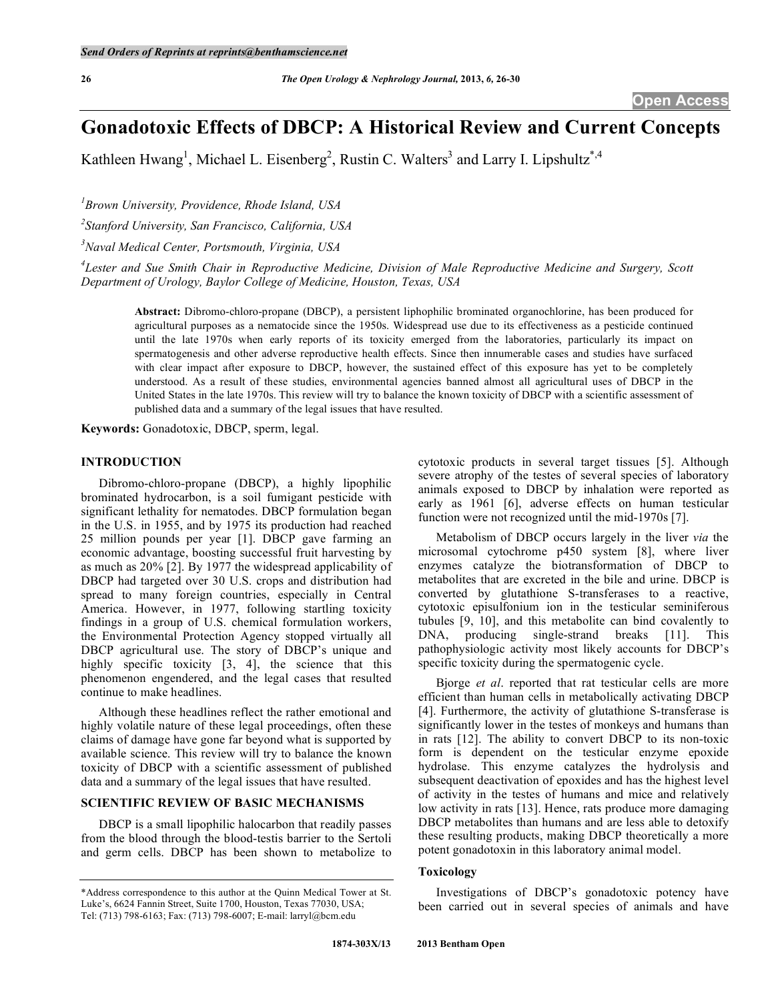# **Gonadotoxic Effects of DBCP: A Historical Review and Current Concepts**

Kathleen Hwang<sup>1</sup>, Michael L. Eisenberg<sup>2</sup>, Rustin C. Walters<sup>3</sup> and Larry I. Lipshultz<sup>\*,4</sup>

*1 Brown University, Providence, Rhode Island, USA* 

*2 Stanford University, San Francisco, California, USA* 

*3 Naval Medical Center, Portsmouth, Virginia, USA* 

*4 Lester and Sue Smith Chair in Reproductive Medicine, Division of Male Reproductive Medicine and Surgery, Scott Department of Urology, Baylor College of Medicine, Houston, Texas, USA* 

**Abstract:** Dibromo-chloro-propane (DBCP), a persistent liphophilic brominated organochlorine, has been produced for agricultural purposes as a nematocide since the 1950s. Widespread use due to its effectiveness as a pesticide continued until the late 1970s when early reports of its toxicity emerged from the laboratories, particularly its impact on spermatogenesis and other adverse reproductive health effects. Since then innumerable cases and studies have surfaced with clear impact after exposure to DBCP, however, the sustained effect of this exposure has yet to be completely understood. As a result of these studies, environmental agencies banned almost all agricultural uses of DBCP in the United States in the late 1970s. This review will try to balance the known toxicity of DBCP with a scientific assessment of published data and a summary of the legal issues that have resulted.

**Keywords:** Gonadotoxic, DBCP, sperm, legal.

## **INTRODUCTION**

 Dibromo-chloro-propane (DBCP), a highly lipophilic brominated hydrocarbon, is a soil fumigant pesticide with significant lethality for nematodes. DBCP formulation began in the U.S. in 1955, and by 1975 its production had reached 25 million pounds per year [1]. DBCP gave farming an economic advantage, boosting successful fruit harvesting by as much as 20% [2]. By 1977 the widespread applicability of DBCP had targeted over 30 U.S. crops and distribution had spread to many foreign countries, especially in Central America. However, in 1977, following startling toxicity findings in a group of U.S. chemical formulation workers, the Environmental Protection Agency stopped virtually all DBCP agricultural use. The story of DBCP's unique and highly specific toxicity [3, 4], the science that this phenomenon engendered, and the legal cases that resulted continue to make headlines.

 Although these headlines reflect the rather emotional and highly volatile nature of these legal proceedings, often these claims of damage have gone far beyond what is supported by available science. This review will try to balance the known toxicity of DBCP with a scientific assessment of published data and a summary of the legal issues that have resulted.

#### **SCIENTIFIC REVIEW OF BASIC MECHANISMS**

 DBCP is a small lipophilic halocarbon that readily passes from the blood through the blood-testis barrier to the Sertoli and germ cells. DBCP has been shown to metabolize to cytotoxic products in several target tissues [5]. Although severe atrophy of the testes of several species of laboratory animals exposed to DBCP by inhalation were reported as early as 1961 [6], adverse effects on human testicular function were not recognized until the mid-1970s [7].

 Metabolism of DBCP occurs largely in the liver *via* the microsomal cytochrome p450 system [8], where liver enzymes catalyze the biotransformation of DBCP to metabolites that are excreted in the bile and urine. DBCP is converted by glutathione S-transferases to a reactive, cytotoxic episulfonium ion in the testicular seminiferous tubules [9, 10], and this metabolite can bind covalently to DNA, producing single-strand breaks [11]. This pathophysiologic activity most likely accounts for DBCP's specific toxicity during the spermatogenic cycle.

 Bjorge *et al*. reported that rat testicular cells are more efficient than human cells in metabolically activating DBCP [4]. Furthermore, the activity of glutathione S-transferase is significantly lower in the testes of monkeys and humans than in rats [12]. The ability to convert DBCP to its non-toxic form is dependent on the testicular enzyme epoxide hydrolase. This enzyme catalyzes the hydrolysis and subsequent deactivation of epoxides and has the highest level of activity in the testes of humans and mice and relatively low activity in rats [13]. Hence, rats produce more damaging DBCP metabolites than humans and are less able to detoxify these resulting products, making DBCP theoretically a more potent gonadotoxin in this laboratory animal model.

## **Toxicology**

 Investigations of DBCP's gonadotoxic potency have been carried out in several species of animals and have

<sup>\*</sup>Address correspondence to this author at the Quinn Medical Tower at St. Luke's, 6624 Fannin Street, Suite 1700, Houston, Texas 77030, USA; Tel: (713) 798-6163; Fax: (713) 798-6007; E-mail: larryl@bcm.edu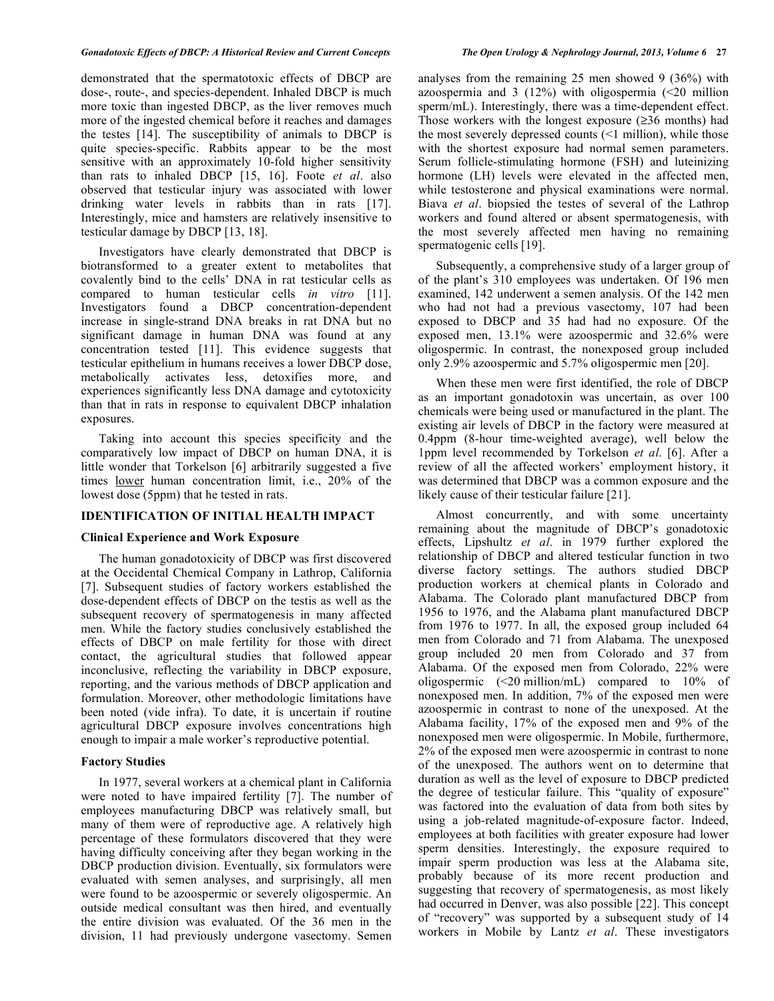demonstrated that the spermatotoxic effects of DBCP are dose-, route-, and species-dependent. Inhaled DBCP is much more toxic than ingested DBCP, as the liver removes much more of the ingested chemical before it reaches and damages the testes [14]. The susceptibility of animals to DBCP is quite species-specific. Rabbits appear to be the most sensitive with an approximately 10-fold higher sensitivity than rats to inhaled DBCP [15, 16]. Foote *et al*. also observed that testicular injury was associated with lower drinking water levels in rabbits than in rats [17]. Interestingly, mice and hamsters are relatively insensitive to testicular damage by DBCP [13, 18].

 Investigators have clearly demonstrated that DBCP is biotransformed to a greater extent to metabolites that covalently bind to the cells' DNA in rat testicular cells as compared to human testicular cells *in vitro* [11]. Investigators found a DBCP concentration-dependent increase in single-strand DNA breaks in rat DNA but no significant damage in human DNA was found at any concentration tested [11]. This evidence suggests that testicular epithelium in humans receives a lower DBCP dose, metabolically activates less, detoxifies more, and experiences significantly less DNA damage and cytotoxicity than that in rats in response to equivalent DBCP inhalation exposures.

Taking into account this species specificity and the comparatively low impact of DBCP on human DNA, it is little wonder that Torkelson [6] arbitrarily suggested a five times lower human concentration limit, i.e., 20% of the lowest dose (5ppm) that he tested in rats.

#### **IDENTIFICATION OF INITIAL HEALTH IMPACT**

#### **Clinical Experience and Work Exposure**

 The human gonadotoxicity of DBCP was first discovered at the Occidental Chemical Company in Lathrop, California [7]. Subsequent studies of factory workers established the dose-dependent effects of DBCP on the testis as well as the subsequent recovery of spermatogenesis in many affected men. While the factory studies conclusively established the effects of DBCP on male fertility for those with direct contact, the agricultural studies that followed appear inconclusive, reflecting the variability in DBCP exposure, reporting, and the various methods of DBCP application and formulation. Moreover, other methodologic limitations have been noted (vide infra). To date, it is uncertain if routine agricultural DBCP exposure involves concentrations high enough to impair a male worker's reproductive potential.

## **Factory Studies**

 In 1977, several workers at a chemical plant in California were noted to have impaired fertility [7]. The number of employees manufacturing DBCP was relatively small, but many of them were of reproductive age. A relatively high percentage of these formulators discovered that they were having difficulty conceiving after they began working in the DBCP production division. Eventually, six formulators were evaluated with semen analyses, and surprisingly, all men were found to be azoospermic or severely oligospermic. An outside medical consultant was then hired, and eventually the entire division was evaluated. Of the 36 men in the division, 11 had previously undergone vasectomy. Semen

analyses from the remaining 25 men showed 9 (36%) with azoospermia and 3 (12%) with oligospermia  $\langle 20 \text{ million} \rangle$ sperm/mL). Interestingly, there was a time-dependent effect. Those workers with the longest exposure  $(\geq 36$  months) had the most severely depressed counts  $($  1 million), while those with the shortest exposure had normal semen parameters. Serum follicle-stimulating hormone (FSH) and luteinizing hormone (LH) levels were elevated in the affected men, while testosterone and physical examinations were normal. Biava *et al*. biopsied the testes of several of the Lathrop workers and found altered or absent spermatogenesis, with the most severely affected men having no remaining spermatogenic cells [19].

 Subsequently, a comprehensive study of a larger group of of the plant's 310 employees was undertaken. Of 196 men examined, 142 underwent a semen analysis. Of the 142 men who had not had a previous vasectomy, 107 had been exposed to DBCP and 35 had had no exposure. Of the exposed men, 13.1% were azoospermic and 32.6% were oligospermic. In contrast, the nonexposed group included only 2.9% azoospermic and 5.7% oligospermic men [20].

 When these men were first identified, the role of DBCP as an important gonadotoxin was uncertain, as over 100 chemicals were being used or manufactured in the plant. The existing air levels of DBCP in the factory were measured at 0.4ppm (8-hour time-weighted average), well below the 1ppm level recommended by Torkelson *et al*. [6]. After a review of all the affected workers' employment history, it was determined that DBCP was a common exposure and the likely cause of their testicular failure [21].

 Almost concurrently, and with some uncertainty remaining about the magnitude of DBCP's gonadotoxic effects, Lipshultz *et al*. in 1979 further explored the relationship of DBCP and altered testicular function in two diverse factory settings. The authors studied DBCP production workers at chemical plants in Colorado and Alabama. The Colorado plant manufactured DBCP from 1956 to 1976, and the Alabama plant manufactured DBCP from 1976 to 1977. In all, the exposed group included 64 men from Colorado and 71 from Alabama. The unexposed group included 20 men from Colorado and 37 from Alabama. Of the exposed men from Colorado, 22% were oligospermic (<20 million/mL) compared to 10% of nonexposed men. In addition, 7% of the exposed men were azoospermic in contrast to none of the unexposed. At the Alabama facility, 17% of the exposed men and 9% of the nonexposed men were oligospermic. In Mobile, furthermore, 2% of the exposed men were azoospermic in contrast to none of the unexposed. The authors went on to determine that duration as well as the level of exposure to DBCP predicted the degree of testicular failure. This "quality of exposure" was factored into the evaluation of data from both sites by using a job-related magnitude-of-exposure factor. Indeed, employees at both facilities with greater exposure had lower sperm densities. Interestingly, the exposure required to impair sperm production was less at the Alabama site, probably because of its more recent production and suggesting that recovery of spermatogenesis, as most likely had occurred in Denver, was also possible [22]. This concept of "recovery" was supported by a subsequent study of 14 workers in Mobile by Lantz *et al*. These investigators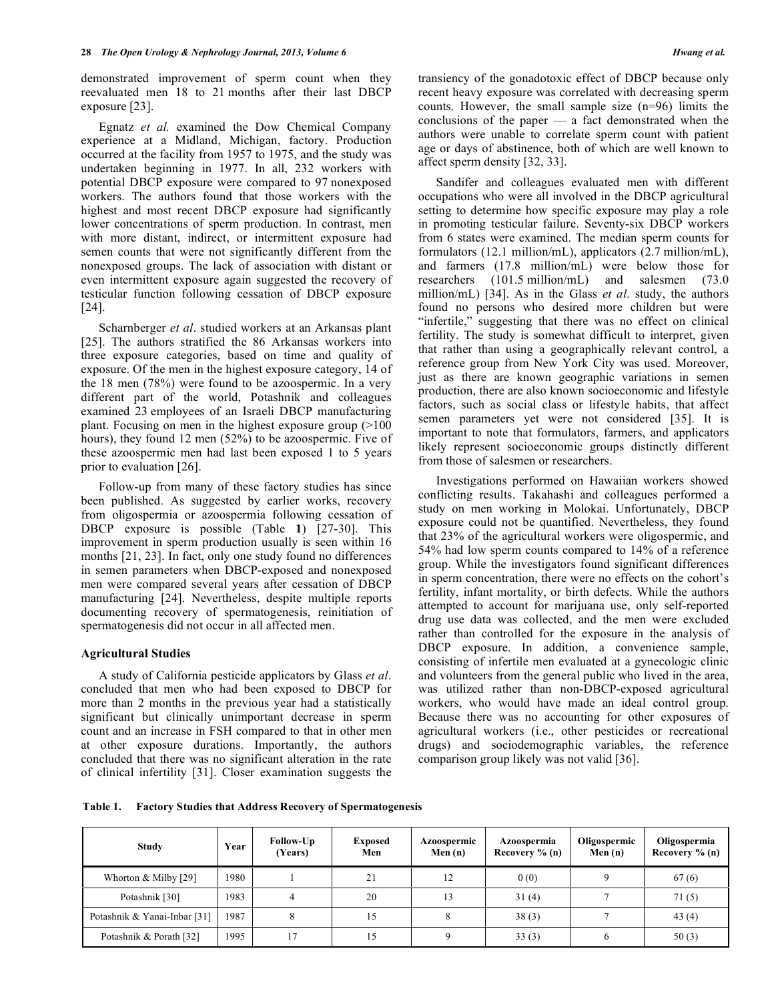demonstrated improvement of sperm count when they reevaluated men 18 to 21 months after their last DBCP exposure [23].

 Egnatz *et al.* examined the Dow Chemical Company experience at a Midland, Michigan, factory. Production occurred at the facility from 1957 to 1975, and the study was undertaken beginning in 1977. In all, 232 workers with potential DBCP exposure were compared to 97 nonexposed workers. The authors found that those workers with the highest and most recent DBCP exposure had significantly lower concentrations of sperm production. In contrast, men with more distant, indirect, or intermittent exposure had semen counts that were not significantly different from the nonexposed groups. The lack of association with distant or even intermittent exposure again suggested the recovery of testicular function following cessation of DBCP exposure [24].

 Scharnberger *et al*. studied workers at an Arkansas plant [25]. The authors stratified the 86 Arkansas workers into three exposure categories, based on time and quality of exposure. Of the men in the highest exposure category, 14 of the 18 men (78%) were found to be azoospermic. In a very different part of the world, Potashnik and colleagues examined 23 employees of an Israeli DBCP manufacturing plant. Focusing on men in the highest exposure group (>100 hours), they found 12 men (52%) to be azoospermic. Five of these azoospermic men had last been exposed 1 to 5 years prior to evaluation [26].

 Follow-up from many of these factory studies has since been published. As suggested by earlier works, recovery from oligospermia or azoospermia following cessation of DBCP exposure is possible (Table **1**) [27-30]. This improvement in sperm production usually is seen within 16 months [21, 23]. In fact, only one study found no differences in semen parameters when DBCP-exposed and nonexposed men were compared several years after cessation of DBCP manufacturing [24]. Nevertheless, despite multiple reports documenting recovery of spermatogenesis, reinitiation of spermatogenesis did not occur in all affected men.

### **Agricultural Studies**

 A study of California pesticide applicators by Glass *et al*. concluded that men who had been exposed to DBCP for more than 2 months in the previous year had a statistically significant but clinically unimportant decrease in sperm count and an increase in FSH compared to that in other men at other exposure durations. Importantly, the authors concluded that there was no significant alteration in the rate of clinical infertility [31]. Closer examination suggests the

 Sandifer and colleagues evaluated men with different occupations who were all involved in the DBCP agricultural setting to determine how specific exposure may play a role in promoting testicular failure. Seventy-six DBCP workers from 6 states were examined. The median sperm counts for formulators (12.1 million/mL), applicators (2.7 million/mL), and farmers (17.8 million/mL) were below those for researchers (101.5 million/mL) and salesmen (73.0 million/mL) [34]. As in the Glass *et al*. study, the authors found no persons who desired more children but were "infertile," suggesting that there was no effect on clinical fertility. The study is somewhat difficult to interpret, given that rather than using a geographically relevant control, a reference group from New York City was used. Moreover, just as there are known geographic variations in semen production, there are also known socioeconomic and lifestyle factors, such as social class or lifestyle habits, that affect semen parameters yet were not considered [35]. It is important to note that formulators, farmers, and applicators likely represent socioeconomic groups distinctly different from those of salesmen or researchers.

 Investigations performed on Hawaiian workers showed conflicting results. Takahashi and colleagues performed a study on men working in Molokai. Unfortunately, DBCP exposure could not be quantified. Nevertheless, they found that 23% of the agricultural workers were oligospermic, and 54% had low sperm counts compared to 14% of a reference group. While the investigators found significant differences in sperm concentration, there were no effects on the cohort's fertility, infant mortality, or birth defects. While the authors attempted to account for marijuana use, only self-reported drug use data was collected, and the men were excluded rather than controlled for the exposure in the analysis of DBCP exposure. In addition, a convenience sample, consisting of infertile men evaluated at a gynecologic clinic and volunteers from the general public who lived in the area, was utilized rather than non-DBCP-exposed agricultural workers, who would have made an ideal control group. Because there was no accounting for other exposures of agricultural workers (i.e., other pesticides or recreational drugs) and sociodemographic variables, the reference comparison group likely was not valid [36].

**Table 1. Factory Studies that Address Recovery of Spermatogenesis** 

| <b>Study</b>                 | Year | Follow-Up<br>(Years) | <b>Exposed</b><br>Men | <b>Azoospermic</b><br>Men $(n)$ | Azoospermia<br>Recovery $\%$ (n) | Oligospermic<br>Men $(n)$ | Oligospermia<br>Recovery $\%$ (n) |
|------------------------------|------|----------------------|-----------------------|---------------------------------|----------------------------------|---------------------------|-----------------------------------|
| Whorton $&$ Milby [29]       | 1980 |                      | 21                    | 12                              | 0(0)                             |                           | 67(6)                             |
| Potashnik [30]               | 1983 |                      | 20                    | 13                              | 31(4)                            |                           | 71(5)                             |
| Potashnik & Yanai-Inbar [31] | 1987 |                      | 15                    |                                 | 38(3)                            |                           | 43 $(4)$                          |
| Potashnik & Porath [32]      | 1995 | 17                   |                       |                                 | 33(3)                            |                           | 50(3)                             |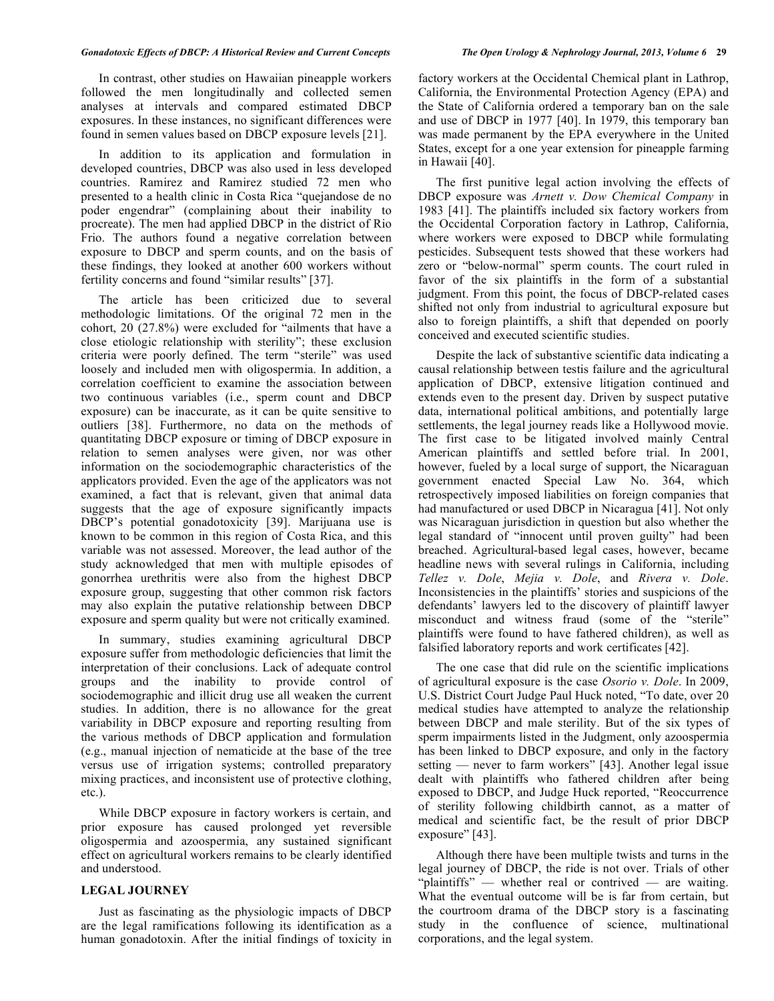In contrast, other studies on Hawaiian pineapple workers followed the men longitudinally and collected semen analyses at intervals and compared estimated DBCP exposures. In these instances, no significant differences were found in semen values based on DBCP exposure levels [21].

 In addition to its application and formulation in developed countries, DBCP was also used in less developed countries. Ramirez and Ramirez studied 72 men who presented to a health clinic in Costa Rica "quejandose de no poder engendrar" (complaining about their inability to procreate). The men had applied DBCP in the district of Rio Frio. The authors found a negative correlation between exposure to DBCP and sperm counts, and on the basis of these findings, they looked at another 600 workers without fertility concerns and found "similar results" [37].

 The article has been criticized due to several methodologic limitations. Of the original 72 men in the cohort, 20 (27.8%) were excluded for "ailments that have a close etiologic relationship with sterility"; these exclusion criteria were poorly defined. The term "sterile" was used loosely and included men with oligospermia. In addition, a correlation coefficient to examine the association between two continuous variables (i.e., sperm count and DBCP exposure) can be inaccurate, as it can be quite sensitive to outliers [38]. Furthermore, no data on the methods of quantitating DBCP exposure or timing of DBCP exposure in relation to semen analyses were given, nor was other information on the sociodemographic characteristics of the applicators provided. Even the age of the applicators was not examined, a fact that is relevant, given that animal data suggests that the age of exposure significantly impacts DBCP's potential gonadotoxicity [39]. Marijuana use is known to be common in this region of Costa Rica, and this variable was not assessed. Moreover, the lead author of the study acknowledged that men with multiple episodes of gonorrhea urethritis were also from the highest DBCP exposure group, suggesting that other common risk factors may also explain the putative relationship between DBCP exposure and sperm quality but were not critically examined.

 In summary, studies examining agricultural DBCP exposure suffer from methodologic deficiencies that limit the interpretation of their conclusions. Lack of adequate control groups and the inability to provide control of sociodemographic and illicit drug use all weaken the current studies. In addition, there is no allowance for the great variability in DBCP exposure and reporting resulting from the various methods of DBCP application and formulation (e.g., manual injection of nematicide at the base of the tree versus use of irrigation systems; controlled preparatory mixing practices, and inconsistent use of protective clothing, etc.).

 While DBCP exposure in factory workers is certain, and prior exposure has caused prolonged yet reversible oligospermia and azoospermia, any sustained significant effect on agricultural workers remains to be clearly identified and understood.

### **LEGAL JOURNEY**

 Just as fascinating as the physiologic impacts of DBCP are the legal ramifications following its identification as a human gonadotoxin. After the initial findings of toxicity in factory workers at the Occidental Chemical plant in Lathrop, California, the Environmental Protection Agency (EPA) and the State of California ordered a temporary ban on the sale and use of DBCP in 1977 [40]. In 1979, this temporary ban was made permanent by the EPA everywhere in the United States, except for a one year extension for pineapple farming in Hawaii [40].

 The first punitive legal action involving the effects of DBCP exposure was *Arnett v. Dow Chemical Company* in 1983 [41]. The plaintiffs included six factory workers from the Occidental Corporation factory in Lathrop, California, where workers were exposed to DBCP while formulating pesticides. Subsequent tests showed that these workers had zero or "below-normal" sperm counts. The court ruled in favor of the six plaintiffs in the form of a substantial judgment. From this point, the focus of DBCP-related cases shifted not only from industrial to agricultural exposure but also to foreign plaintiffs, a shift that depended on poorly conceived and executed scientific studies.

 Despite the lack of substantive scientific data indicating a causal relationship between testis failure and the agricultural application of DBCP, extensive litigation continued and extends even to the present day. Driven by suspect putative data, international political ambitions, and potentially large settlements, the legal journey reads like a Hollywood movie. The first case to be litigated involved mainly Central American plaintiffs and settled before trial. In 2001, however, fueled by a local surge of support, the Nicaraguan government enacted Special Law No. 364, which retrospectively imposed liabilities on foreign companies that had manufactured or used DBCP in Nicaragua [41]. Not only was Nicaraguan jurisdiction in question but also whether the legal standard of "innocent until proven guilty" had been breached. Agricultural-based legal cases, however, became headline news with several rulings in California, including *Tellez v. Dole*, *Mejia v. Dole*, and *Rivera v. Dole*. Inconsistencies in the plaintiffs' stories and suspicions of the defendants' lawyers led to the discovery of plaintiff lawyer misconduct and witness fraud (some of the "sterile" plaintiffs were found to have fathered children), as well as falsified laboratory reports and work certificates [42].

 The one case that did rule on the scientific implications of agricultural exposure is the case *Osorio v. Dole*. In 2009, U.S. District Court Judge Paul Huck noted, "To date, over 20 medical studies have attempted to analyze the relationship between DBCP and male sterility. But of the six types of sperm impairments listed in the Judgment, only azoospermia has been linked to DBCP exposure, and only in the factory setting — never to farm workers" [43]. Another legal issue dealt with plaintiffs who fathered children after being exposed to DBCP, and Judge Huck reported, "Reoccurrence of sterility following childbirth cannot, as a matter of medical and scientific fact, be the result of prior DBCP exposure" [43].

 Although there have been multiple twists and turns in the legal journey of DBCP, the ride is not over. Trials of other "plaintiffs" — whether real or contrived — are waiting. What the eventual outcome will be is far from certain, but the courtroom drama of the DBCP story is a fascinating study in the confluence of science, multinational corporations, and the legal system.